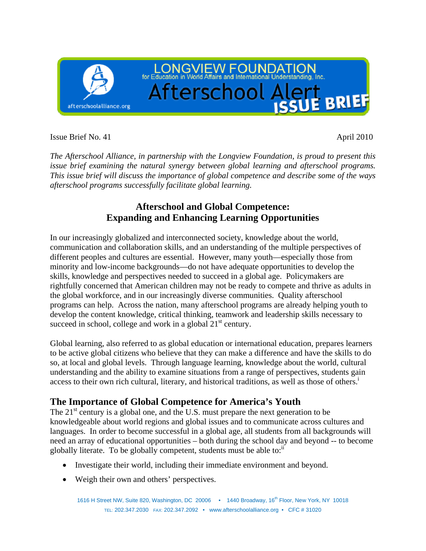

Issue Brief No. 41 April 2010

*The Afterschool Alliance, in partnership with the Longview Foundation, is proud to present this issue brief examining the natural synergy between global learning and afterschool programs. This issue brief will discuss the importance of global competence and describe some of the ways afterschool programs successfully facilitate global learning.* 

# **Afterschool and Global Competence: Expanding and Enhancing Learning Opportunities**

In our increasingly globalized and interconnected society, knowledge about the world, communication and collaboration skills, and an understanding of the multiple perspectives of different peoples and cultures are essential. However, many youth—especially those from minority and low-income backgrounds—do not have adequate opportunities to develop the skills, knowledge and perspectives needed to succeed in a global age. Policymakers are rightfully concerned that American children may not be ready to compete and thrive as adults in the global workforce, and in our increasingly diverse communities. Quality afterschool programs can help. Across the nation, many afterschool programs are already helping youth to develop the content knowledge, critical thinking, teamwork and leadership skills necessary to succeed in school, college and work in a global  $21<sup>st</sup>$  century.

Global learning, also referred to as global education or international education, prepares learners to be active global citizens who believe that they can make a difference and have the skills to do so, at local and global levels. Through language learning, knowledge about the world, cultural understanding and the ability to examine situations from a range of perspectives, students gain access to their own rich cultural, literary, and historical traditions, as well as those of others.<sup>1</sup>

# **The Importance of Global Competence for America's Youth**

The  $21<sup>st</sup>$  century is a global one, and the U.S. must prepare the next generation to be knowledgeable about world regions and global issues and to communicate across cultures and languages. In order to become successful in a global age, all students from all backgrounds will need an array of educational opportunities – both during the school day and beyond -- to become globally literate. To be globally competent, students must be able to: $\mathbf{u}$ 

- Investigate their world, including their immediate environment and beyond.
- Weigh their own and others' perspectives.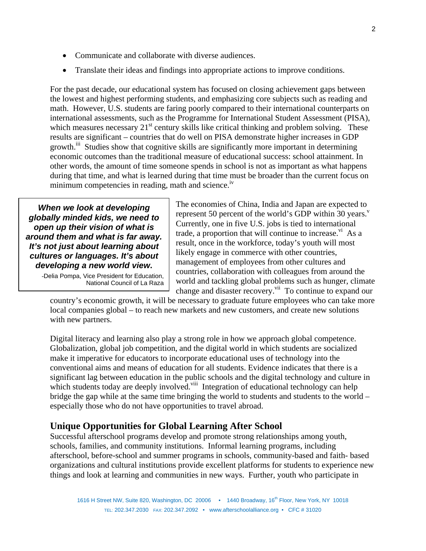- Communicate and collaborate with diverse audiences.
- Translate their ideas and findings into appropriate actions to improve conditions.

For the past decade, our educational system has focused on closing achievement gaps between the lowest and highest performing students, and emphasizing core subjects such as reading and math. However, U.S. students are faring poorly compared to their international counterparts on international assessments, such as the Programme for International Student Assessment (PISA), which measures necessary  $21<sup>st</sup>$  century skills like critical thinking and problem solving. These results are significant – countries that do well on PISA demonstrate higher increases in GDP growth.<sup>iii</sup> Studies show that cognitive skills are significantly more important in determining economic outcomes than the traditional measure of educational success: school attainment. In other words, the amount of time someone spends in school is not as important as what happens during that time, and what is learned during that time must be broader than the current focus on minimum competencies in reading, math and science.<sup>iv</sup>

*When we look at developing globally minded kids, we need to open up their vision of what is around them and what is far away. It's not just about learning about cultures or languages. It's about developing a new world view***.** 

> -Delia Pompa, Vice President for Education, National Council of La Raza

The economies of China, India and Japan are expected to represent 50 percent of the world's GDP within 30 years. $v$ Currently, one in five U.S. jobs is tied to international trade, a proportion that will continue to increase.<sup>v<sub>1</sub></sup> As a result, once in the workforce, today's youth will most likely engage in commerce with other countries, management of employees from other cultures and countries, collaboration with colleagues from around the world and tackling global problems such as hunger, climate change and disaster recovery.<sup>vii</sup> To continue to expand our

country's economic growth, it will be necessary to graduate future employees who can take more local companies global – to reach new markets and new customers, and create new solutions with new partners.

Digital literacy and learning also play a strong role in how we approach global competence. Globalization, global job competition, and the digital world in which students are socialized make it imperative for educators to incorporate educational uses of technology into the conventional aims and means of education for all students. Evidence indicates that there is a significant lag between education in the public schools and the digital technology and culture in which students today are deeply involved.<sup>viii</sup> Integration of educational technology can help bridge the gap while at the same time bringing the world to students and students to the world – especially those who do not have opportunities to travel abroad.

# **Unique Opportunities for Global Learning After School**

Successful afterschool programs develop and promote strong relationships among youth, schools, families, and community institutions. Informal learning programs, including afterschool, before-school and summer programs in schools, community-based and faith- based organizations and cultural institutions provide excellent platforms for students to experience new things and look at learning and communities in new ways. Further, youth who participate in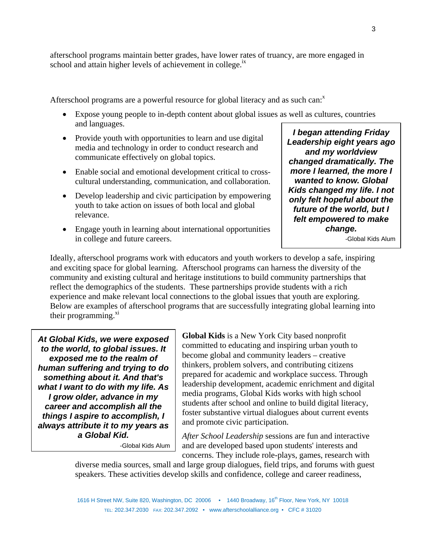afterschool programs maintain better grades, have lower rates of truancy, are more engaged in school and attain higher levels of achievement in college.<sup>1x</sup>

Afterschool programs are a powerful resource for global literacy and as such can: $^x$ 

- Expose young people to in-depth content about global issues as well as cultures, countries and languages.
- Provide youth with opportunities to learn and use digital media and technology in order to conduct research and communicate effectively on global topics.
- Enable social and emotional development critical to crosscultural understanding, communication, and collaboration.
- Develop leadership and civic participation by empowering youth to take action on issues of both local and global relevance.
- Engage youth in learning about international opportunities in college and future careers.

*I began attending Friday Leadership eight years ago and my worldview changed dramatically. The more I learned, the more I wanted to know. Global Kids changed my life. I not only felt hopeful about the future of the world, but I felt empowered to make change.* 

-Global Kids Alum

Ideally, afterschool programs work with educators and youth workers to develop a safe, inspiring and exciting space for global learning. Afterschool programs can harness the diversity of the community and existing cultural and heritage institutions to build community partnerships that reflect the demographics of the students. These partnerships provide students with a rich experience and make relevant local connections to the global issues that youth are exploring. Below are examples of afterschool programs that are successfully integrating global learning into their programming. $x^{i}$ 

*At Global Kids, we were exposed to the world, to global issues. It exposed me to the realm of human suffering and trying to do something about it. And that's what I want to do with my life. As I grow older, advance in my career and accomplish all the things I aspire to accomplish, I always attribute it to my years as a Global Kid.* 

-Global Kids Alum

**Global Kids** is a New York City based nonprofit committed to educating and inspiring urban youth to become global and community leaders – creative thinkers, problem solvers, and contributing citizens prepared for academic and workplace success. Through leadership development, academic enrichment and digital media programs, Global Kids works with high school students after school and online to build digital literacy, foster substantive virtual dialogues about current events and promote civic participation.

*After School Leadership* sessions are fun and interactive and are developed based upon students' interests and concerns. They include role-plays, games, research with

diverse media sources, small and large group dialogues, field trips, and forums with guest speakers. These activities develop skills and confidence, college and career readiness,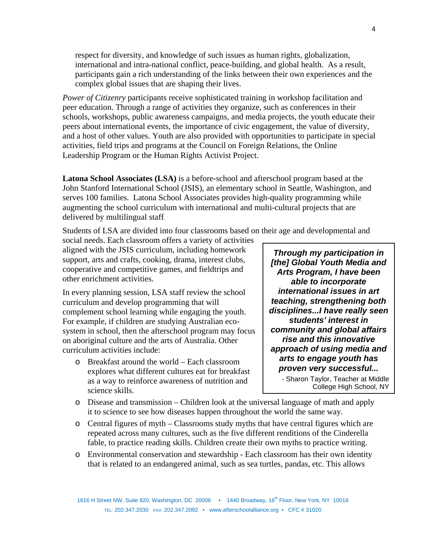respect for diversity, and knowledge of such issues as human rights, globalization, international and intra-national conflict, peace-building, and global health. As a result, participants gain a rich understanding of the links between their own experiences and the complex global issues that are shaping their lives.

*Power of Citizenry* participants receive sophisticated training in workshop facilitation and peer education. Through a range of activities they organize, such as conferences in their schools, workshops, public awareness campaigns, and media projects, the youth educate their peers about international events, the importance of civic engagement, the value of diversity, and a host of other values. Youth are also provided with opportunities to participate in special activities, field trips and programs at the Council on Foreign Relations, the Online Leadership Program or the Human Rights Activist Project.

**Latona School Associates (LSA)** is a before-school and afterschool program based at the John Stanford International School (JSIS), an elementary school in Seattle, Washington, and serves 100 families. Latona School Associates provides high-quality programming while augmenting the school curriculum with international and multi-cultural projects that are delivered by multilingual staff.

Students of LSA are divided into four classrooms based on their age and developmental and

social needs. Each classroom offers a variety of activities aligned with the JSIS curriculum, including homework support, arts and crafts, cooking, drama, interest clubs, cooperative and competitive games, and fieldtrips and other enrichment activities.

In every planning session, LSA staff review the school curriculum and develop programming that will complement school learning while engaging the youth. For example, if children are studying Australian ecosystem in school, then the afterschool program may focus on aboriginal culture and the arts of Australia. Other curriculum activities include:

o Breakfast around the world – Each classroom explores what different cultures eat for breakfast as a way to reinforce awareness of nutrition and science skills.

*Through my participation in [the] Global Youth Media and Arts Program, I have been able to incorporate international issues in art teaching, strengthening both disciplines...I have really seen students' interest in community and global affairs rise and this innovative approach of using media and arts to engage youth has proven very successful...*

- Sharon Taylor, Teacher at Middle College High School, NY

- o Disease and transmission Children look at the universal language of math and apply it to science to see how diseases happen throughout the world the same way.
- $\circ$  Central figures of myth Classrooms study myths that have central figures which are repeated across many cultures, such as the five different renditions of the Cinderella fable, to practice reading skills. Children create their own myths to practice writing.
- o Environmental conservation and stewardship Each classroom has their own identity that is related to an endangered animal, such as sea turtles, pandas, etc. This allows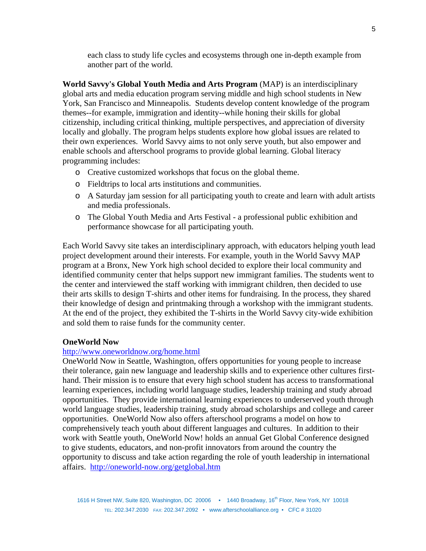each class to study life cycles and ecosystems through one in-depth example from another part of the world.

**World Savvy's Global Youth Media and Arts Program** (MAP) is an interdisciplinary global arts and media education program serving middle and high school students in New York, San Francisco and Minneapolis. Students develop content knowledge of the program themes--for example, immigration and identity--while honing their skills for global citizenship, including critical thinking, multiple perspectives, and appreciation of diversity locally and globally. The program helps students explore how global issues are related to their own experiences. World Savvy aims to not only serve youth, but also empower and enable schools and afterschool programs to provide global learning. Global literacy programming includes:

- o Creative customized workshops that focus on the global theme.
- o Fieldtrips to local arts institutions and communities.
- o A Saturday jam session for all participating youth to create and learn with adult artists and media professionals.
- o The Global Youth Media and Arts Festival a professional public exhibition and performance showcase for all participating youth.

Each World Savvy site takes an interdisciplinary approach, with educators helping youth lead project development around their interests. For example, youth in the World Savvy MAP program at a Bronx, New York high school decided to explore their local community and identified community center that helps support new immigrant families. The students went to the center and interviewed the staff working with immigrant children, then decided to use their arts skills to design T-shirts and other items for fundraising. In the process, they shared their knowledge of design and printmaking through a workshop with the immigrant students. At the end of the project, they exhibited the T-shirts in the World Savvy city-wide exhibition and sold them to raise funds for the community center.

#### **OneWorld Now**

#### http://www.oneworldnow.org/home.html

OneWorld Now in Seattle, Washington, offers opportunities for young people to increase their tolerance, gain new language and leadership skills and to experience other cultures firsthand. Their mission is to ensure that every high school student has access to transformational learning experiences, including world language studies, leadership training and study abroad opportunities. They provide international learning experiences to underserved youth through world language studies, leadership training, study abroad scholarships and college and career opportunities. OneWorld Now also offers afterschool programs a model on how to comprehensively teach youth about different languages and cultures. In addition to their work with Seattle youth, OneWorld Now! holds an annual Get Global Conference designed to give students, educators, and non-profit innovators from around the country the opportunity to discuss and take action regarding the role of youth leadership in international affairs. http://oneworld-now.org/getglobal.htm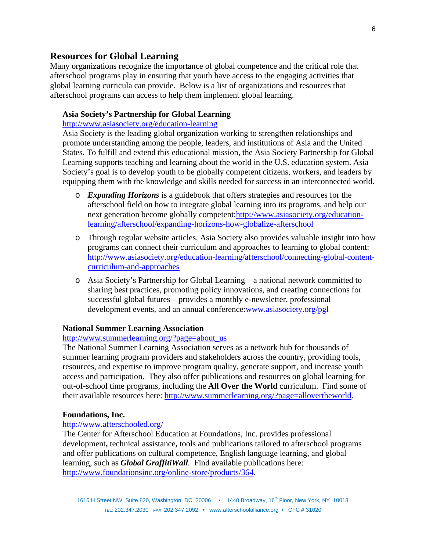### **Resources for Global Learning**

Many organizations recognize the importance of global competence and the critical role that afterschool programs play in ensuring that youth have access to the engaging activities that global learning curricula can provide. Below is a list of organizations and resources that afterschool programs can access to help them implement global learning.

#### **Asia Society's Partnership for Global Learning**

http://www.asiasociety.org/education-learning

Asia Society is the leading global organization working to strengthen relationships and promote understanding among the people, leaders, and institutions of Asia and the United States. To fulfill and extend this educational mission, the Asia Society Partnership for Global Learning supports teaching and learning about the world in the U.S. education system. Asia Society's goal is to develop youth to be globally competent citizens, workers, and leaders by equipping them with the knowledge and skills needed for success in an interconnected world.

- o *Expanding Horizons* is a guidebook that offers strategies and resources for the afterschool field on how to integrate global learning into its programs, and help our next generation become globally competent:http://www.asiasociety.org/educationlearning/afterschool/expanding-horizons-how-globalize-afterschool
- o Through regular website articles, Asia Society also provides valuable insight into how programs can connect their curriculum and approaches to learning to global content: http://www.asiasociety.org/education-learning/afterschool/connecting-global-contentcurriculum-and-approaches
- o Asia Society's Partnership for Global Learning a national network committed to sharing best practices, promoting policy innovations, and creating connections for successful global futures – provides a monthly e-newsletter, professional development events, and an annual conference:www.asiasociety.org/pgl

#### **National Summer Learning Association**

#### http://www.summerlearning.org/?page=about\_us

The National Summer Learning Association serves as a network hub for thousands of summer learning program providers and stakeholders across the country, providing tools, resources, and expertise to improve program quality, generate support, and increase youth access and participation. They also offer publications and resources on global learning for out-of-school time programs, including the **All Over the World** curriculum. Find some of their available resources here: http://www.summerlearning.org/?page=allovertheworld.

#### **Foundations, Inc.**

#### http://www.afterschooled.org/

The Center for Afterschool Education at Foundations, Inc. provides professional development**,** technical assistance**,** tools and publications tailored to afterschool programs and offer publications on cultural competence, English language learning, and global learning, such as *Global GraffitiWall.* Find available publications here: http://www.foundationsinc.org/online-store/products/364.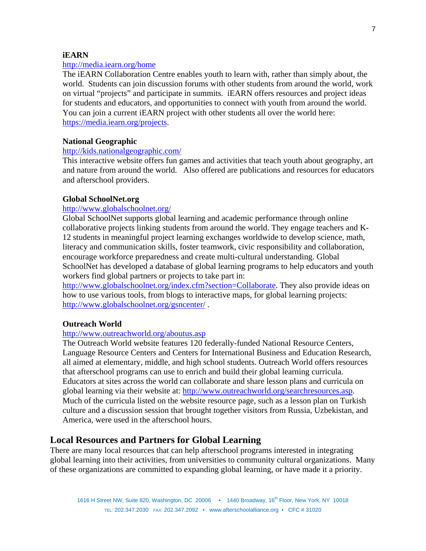#### **iEARN**

#### http://media.iearn.org/home

The iEARN Collaboration Centre enables youth to learn with, rather than simply about, the world. Students can join discussion forums with other students from around the world, work on virtual "projects" and participate in summits. iEARN offers resources and project ideas for students and educators, and opportunities to connect with youth from around the world. You can join a current iEARN project with other students all over the world here: https://media.iearn.org/projects.

#### **National Geographic**

#### http://kids.nationalgeographic.com/

This interactive website offers fun games and activities that teach youth about geography, art and nature from around the world. Also offered are publications and resources for educators and afterschool providers.

#### **Global SchoolNet.org**

#### http://www.globalschoolnet.org/

Global SchoolNet supports global learning and academic performance through online collaborative projects linking students from around the world. They engage teachers and K-12 students in meaningful project learning exchanges worldwide to develop science, math, literacy and communication skills, foster teamwork, civic responsibility and collaboration, encourage workforce preparedness and create multi-cultural understanding. Global SchoolNet has developed a database of global learning programs to help educators and youth workers find global partners or projects to take part in:

http://www.globalschoolnet.org/index.cfm?section=Collaborate. They also provide ideas on how to use various tools, from blogs to interactive maps, for global learning projects: http://www.globalschoolnet.org/gsncenter/ .

#### **Outreach World**

### http://www.outreachworld.org/aboutus.asp

The Outreach World website features 120 federally-funded National Resource Centers, Language Resource Centers and Centers for International Business and Education Research, all aimed at elementary, middle, and high school students. Outreach World offers resources that afterschool programs can use to enrich and build their global learning curricula. Educators at sites across the world can collaborate and share lesson plans and curricula on global learning via their website at: http://www.outreachworld.org/searchresources.asp. Much of the curricula listed on the website resource page, such as a lesson plan on Turkish culture and a discussion session that brought together visitors from Russia, Uzbekistan, and America, were used in the afterschool hours.

## **Local Resources and Partners for Global Learning**

There are many local resources that can help afterschool programs interested in integrating global learning into their activities, from universities to community cultural organizations. Many of these organizations are committed to expanding global learning, or have made it a priority.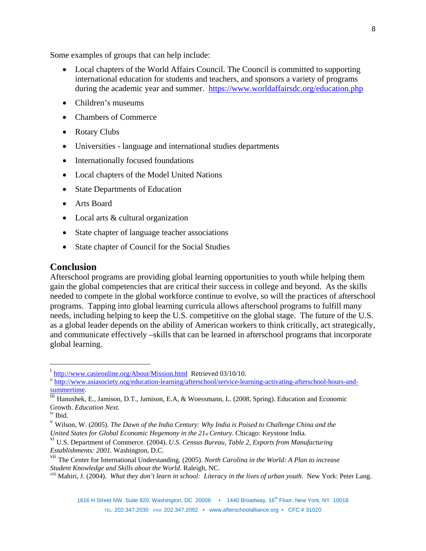Some examples of groups that can help include:

- Local chapters of the World Affairs Council. The Council is committed to supporting international education for students and teachers, and sponsors a variety of programs during the academic year and summer. https://www.worldaffairsdc.org/education.php
- Children's museums
- Chambers of Commerce
- Rotary Clubs
- Universities language and international studies departments
- Internationally focused foundations
- Local chapters of the Model United Nations
- State Departments of Education
- Arts Board
- Local arts & cultural organization
- State chapter of language teacher associations
- State chapter of Council for the Social Studies

#### **Conclusion**

Afterschool programs are providing global learning opportunities to youth while helping them gain the global competencies that are critical their success in college and beyond. As the skills needed to compete in the global workforce continue to evolve, so will the practices of afterschool programs. Tapping into global learning curricula allows afterschool programs to fulfill many needs, including helping to keep the U.S. competitive on the global stage. The future of the U.S. as a global leader depends on the ability of American workers to think critically, act strategically, and communicate effectively –skills that can be learned in afterschool programs that incorporate global learning.

 $\overline{a}$ 

<sup>&</sup>lt;sup>i</sup> http://www.casieonline.org/About/Mission.html Retrieved 03/10/10.

ii http://www.asiasociety.org/education-learning/afterschool/service-learning-activating-afterschool-hours-andsummertime.<br>iii Hanushek, E., Jamison, D.T., Jamison, E.A, & Woessmann, L. (2008, Spring). Education and Economic

Growth. *Education Next.*

iv Ibid.

<sup>v</sup> Wilson, W. (2005). *The Dawn of the India Century: Why India is Poised to Challenge China and the United States for Global Economic Hegemony in the 21st Century*. Chicago: Keystone India.

vi U.S. Department of Commerce. (2004). *U.S. Census Bureau, Table 2, Exports from Manufacturing Establishments: 2001.* Washington, D.C.

vii The Center for International Understanding. (2005). *North Carolina in the World: A Plan to increase Student Knowledge and Skills about the World.* Raleigh, NC.

viii Mahiri, J. (2004). *What they don't learn in school: Literacy in the lives of urban youth*. New York: Peter Lang.